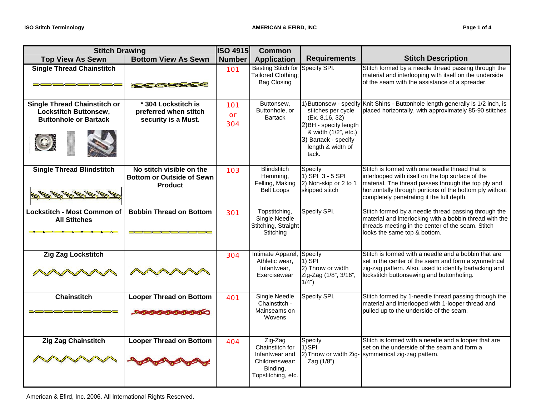| <b>Stitch Drawing</b>                                                                                                                                                         |                                                                                                                                                                                                                                                                        | <b>ISO 4915</b>  | <b>Common</b>                                                                                    |                                                                                                                                               |                                                                                                                                                                                                                                                                     |
|-------------------------------------------------------------------------------------------------------------------------------------------------------------------------------|------------------------------------------------------------------------------------------------------------------------------------------------------------------------------------------------------------------------------------------------------------------------|------------------|--------------------------------------------------------------------------------------------------|-----------------------------------------------------------------------------------------------------------------------------------------------|---------------------------------------------------------------------------------------------------------------------------------------------------------------------------------------------------------------------------------------------------------------------|
| <b>Top View As Sewn</b>                                                                                                                                                       | <b>Bottom View As Sewn</b>                                                                                                                                                                                                                                             | <b>Number</b>    | <b>Application</b>                                                                               | <b>Requirements</b>                                                                                                                           | <b>Stitch Description</b>                                                                                                                                                                                                                                           |
| <b>Single Thread Chainstitch</b>                                                                                                                                              | <b>Property of the Contract of the Contract of the Contract of the Contract of the Contract of the Contract of the Contract of the Contract of the Contract of the Contract of the Contract of the Contract of the Contract of t</b>                                   | 101              | <b>Basting Stitch for</b><br>Tailored Clothing;<br><b>Bag Closing</b>                            | Specify SPI.                                                                                                                                  | Stitch formed by a needle thread passing through the<br>material and interlooping with itself on the underside<br>of the seam with the assistance of a spreader.                                                                                                    |
| <b>Single Thread Chainstitch or</b><br>Lockstitch Buttonsew,<br><b>Buttonhole or Bartack</b>                                                                                  | * 304 Lockstitch is<br>preferred when stitch<br>security is a Must.                                                                                                                                                                                                    | 101<br>or<br>304 | Buttonsew,<br>Buttonhole, or<br><b>Bartack</b>                                                   | stitches per cycle<br>(Ex. 8, 16, 32)<br>2) BH - specify length<br>& width (1/2", etc.)<br>3) Bartack - specify<br>length & width of<br>tack. | 1) Buttonsew - specify Knit Shirts - Buttonhole length generally is 1/2 inch, is<br>placed horizontally, with approximately 85-90 stitches                                                                                                                          |
| <b>Single Thread Blindstitch</b>                                                                                                                                              | No stitch visible on the<br><b>Bottom or Outside of Sewn</b><br><b>Product</b>                                                                                                                                                                                         | 103              | <b>Blindstitch</b><br>Hemming,<br>Felling, Making<br>Belt Loops                                  | Specify<br>$1)$ SPI 3 - 5 SPI<br>2) Non-skip or 2 to 1<br>skipped stitch                                                                      | Stitch is formed with one needle thread that is<br>interlooped with itself on the top surface of the<br>material. The thread passes through the top ply and<br>horizontally through portions of the bottom ply without<br>completely penetrating it the full depth. |
| <b>Lockstitch - Most Common of</b><br><b>All Stitches</b><br>and the control of the control of the control of the control of the control of the control of the control of the | <b>Bobbin Thread on Bottom</b><br><b>THE REPORT OF STATE AND REPORT OF A STATE OF A STATE OF A STATE OF A STATE OF A STATE OF A STATE OF A STATE OF A STATE OF A STATE OF A STATE OF A STATE OF A STATE OF A STATE OF A STATE OF A STATE OF A STATE OF A STATE OF </b> | 301              | Topstitching,<br>Single Needle<br>Stitching, Straight<br>Stitching                               | Specify SPI.                                                                                                                                  | Stitch formed by a needle thread passing through the<br>material and interlocking with a bobbin thread with the<br>threads meeting in the center of the seam. Stitch<br>looks the same top & bottom.                                                                |
| <b>Zig Zag Lockstitch</b>                                                                                                                                                     |                                                                                                                                                                                                                                                                        | 304              | Intimate Apparel,<br>Athletic wear,<br>Infantwear,<br>Exercisewear                               | Specify<br>$1)$ SPI<br>2) Throw or width<br>Zig-Zag (1/8", 3/16",<br>$1/\bar{4}$ ")                                                           | Stitch is formed with a needle and a bobbin that are<br>set in the center of the seam and form a symmetrical<br>zig-zag pattern. Also, used to identify bartacking and<br>lockstitch buttonsewing and buttonholing.                                                 |
| <b>Chainstitch</b><br>$\lambda$ $\lambda$ $\lambda$ $\lambda$ $\lambda$ $\lambda$ $\lambda$                                                                                   | <b>Looper Thread on Bottom</b><br><b>Designation of the Contract of the Contract of the Contract of the Contract of the Contract of the Contract of</b>                                                                                                                | 401              | <b>Single Needle</b><br>Chainstitch -<br>Mainseams on<br>Wovens                                  | Specify SPI.                                                                                                                                  | Stitch formed by 1-needle thread passing through the<br>material and interlooped with 1-looper thread and<br>pulled up to the underside of the seam.                                                                                                                |
| <b>Zig Zag Chainstitch</b>                                                                                                                                                    | <b>Looper Thread on Bottom</b>                                                                                                                                                                                                                                         | 404              | Zig-Zag<br>Chainstitch for<br>Infantwear and<br>Childrenswear:<br>Binding,<br>Topstitching, etc. | Specify<br>1) SPI<br>Zag (1/8")                                                                                                               | Stitch is formed with a needle and a looper that are<br>set on the underside of the seam and form a<br>2) Throw or width Zig- symmetrical zig-zag pattern.                                                                                                          |

American & Efird, Inc. 2006. All International Rights Reserved.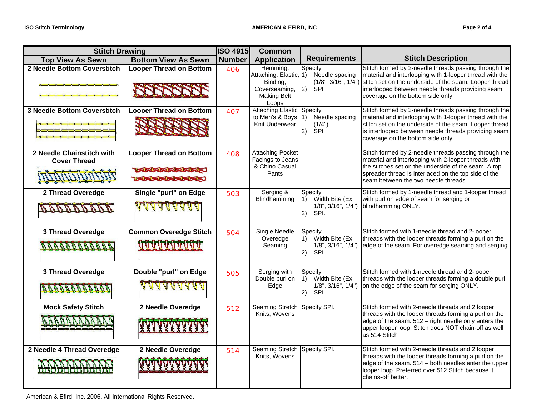| <b>Stitch Drawing</b>                                                                               |                                                                                     | <b>ISO 4915</b> | <b>Common</b>                                                                                  |                                                                                        |                                                                                                                                                                                                                                                                         |
|-----------------------------------------------------------------------------------------------------|-------------------------------------------------------------------------------------|-----------------|------------------------------------------------------------------------------------------------|----------------------------------------------------------------------------------------|-------------------------------------------------------------------------------------------------------------------------------------------------------------------------------------------------------------------------------------------------------------------------|
| <b>Top View As Sewn</b>                                                                             | <b>Bottom View As Sewn</b>                                                          | <b>Number</b>   | <b>Application</b>                                                                             | <b>Requirements</b>                                                                    | <b>Stitch Description</b>                                                                                                                                                                                                                                               |
| 2 Needle Bottom Coverstitch<br><b>No. 1989</b> - No. 1989 - No. 1989 - No. 1989<br><b>XXXXXXXXX</b> | <b>Looper Thread on Bottom</b>                                                      | 406             | Hemming,<br>Attaching, Elastic, 1)<br>Binding,<br>Coverseaming,<br><b>Making Belt</b><br>Loops | Specify<br>Needle spacing<br>(1/8", 3/16", 1/4")<br> 2)<br>SPI                         | Stitch formed by 2-needle threads passing through the<br>material and interlooping with 1-looper thread with the<br>stitch set on the underside of the seam. Looper thread<br>interlooped between needle threads providing seam<br>coverage on the bottom side only.    |
| <b>3 Needle Bottom Coverstitch</b><br>x x x x x x x x x x<br>Y Y Y Y Y Y T                          | <b>Looper Thread on Bottom</b>                                                      | 407             | <b>Attaching Elastic</b><br>to Men's & Boys<br>Knit Underwear                                  | Specify<br>Needle spacing<br>l1)<br>(1/4")<br> 2)<br><b>SPI</b>                        | Stitch formed by 3-needle threads passing through the<br>material and interlooping with 1-looper thread with the<br>stitch set on the underside of the seam. Looper thread<br>is interlooped between needle threads providing seam<br>coverage on the bottom side only. |
| 2 Needle Chainstitch with<br><b>Cover Thread</b>                                                    | <b>Looper Thread on Bottom</b><br>1-454545454545454<br><b>BOSTOS BOSTOS COMPANY</b> | 408             | <b>Attaching Pocket</b><br>Facings to Jeans<br>& Chino Casual<br>Pants                         |                                                                                        | Stitch formed by 2-needle threads passing through the<br>material and interlooping with 2-looper threads with<br>the stitches set on the underside of the seam. A top<br>spreader thread is interlaced on the top side of the<br>seam between the two needle threads.   |
| 2 Thread Overedge                                                                                   | Single "purl" on Edge<br><u>AAAAAAAAA</u>                                           | 503             | Serging &<br>Blindhemming                                                                      | Specify<br>Width Bite (Ex.<br>$\vert$ 1)<br>$1/8$ ", $3/16$ ", $1/4$ ")<br>SPI.<br>(2) | Stitch formed by 1-needle thread and 1-looper thread<br>with purl on edge of seam for serging or<br>blindhemming ONLY.                                                                                                                                                  |
| 3 Thread Overedge<br><u>N N N N N N N N N N N N</u>                                                 | <b>Common Overedge Stitch</b><br><b>MAAAAAAAAAAA</b>                                | 504             | Single Needle<br>Overedge<br>Seaming                                                           | Specify<br>Width Bite (Ex.<br>1)<br>$1/8$ ", $3/16$ ", $1/4$ ")<br>SPI.<br>(2)         | Stitch formed with 1-needle thread and 2-looper<br>threads with the looper threads forming a purl on the<br>edge of the seam. For overedge seaming and serging.                                                                                                         |
| 3 Thread Overedge<br><b>BAARAARAAN</b>                                                              | Double "purl" on Edge<br><b>ALAMA ALAMA</b>                                         | 505             | Serging with<br>Double purl on<br>Edge                                                         | Specify<br>1) Width Bite (Ex.<br>$1/8$ ", $3/16$ ", $1/4$ ")<br>(2)<br>SPI.            | Stitch formed with 1-needle thread and 2-looper<br>threads with the looper threads forming a double purl<br>on the edge of the seam for serging ONLY.                                                                                                                   |
| <b>Mock Safety Stitch</b>                                                                           | 2 Needle Overedge                                                                   | 512             | <b>Seaming Stretch</b><br>Knits, Wovens                                                        | Specify SPI.                                                                           | Stitch formed with 2-needle threads and 2 looper<br>threads with the looper threads forming a purl on the<br>edge of the seam. 512 - right needle only enters the<br>upper looper loop. Stitch does NOT chain-off as well<br>as 514 Stitch                              |
| 2 Needle 4 Thread Overedge                                                                          | 2 Needle Overedge                                                                   | 514             | <b>Seaming Stretch</b><br>Knits, Wovens                                                        | Specify SPI.                                                                           | Stitch formed with 2-needle threads and 2 looper<br>threads with the looper threads forming a purl on the<br>edge of the seam. 514 – both needles enter the upper<br>looper loop. Preferred over 512 Stitch because it<br>chains-off better.                            |

American & Efird, Inc. 2006. All International Rights Reserved.